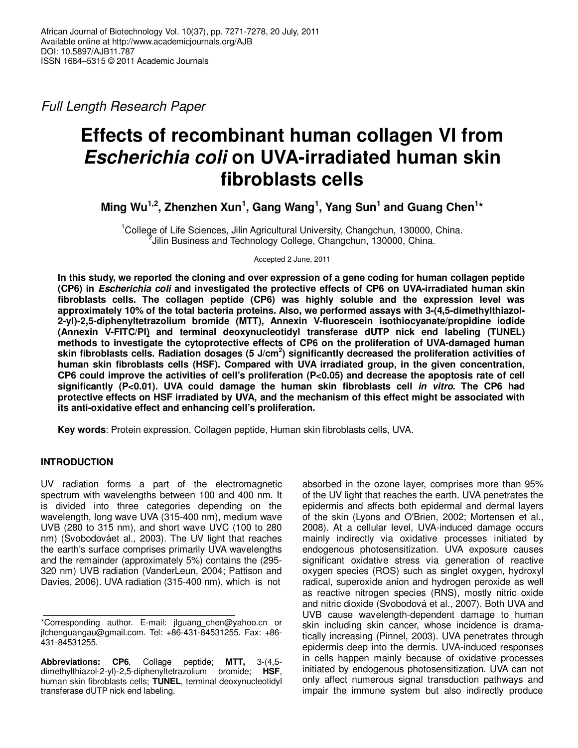Full Length Research Paper

# **Effects of recombinant human collagen VI from Escherichia coli on UVA-irradiated human skin fibroblasts cells**

**Ming Wu1,2, Zhenzhen Xun<sup>1</sup> , Gang Wang<sup>1</sup> , Yang Sun<sup>1</sup> and Guang Chen<sup>1</sup> \*** 

<sup>1</sup>College of Life Sciences, Jilin Agricultural University, Changchun, 130000, China. <sup>2</sup> Jilin Business and Technology College, Changchun, 130000, China.

Accepted 2 June, 2011

**In this study, we reported the cloning and over expression of a gene coding for human collagen peptide (CP6) in Escherichia coli and investigated the protective effects of CP6 on UVA-irradiated human skin fibroblasts cells. The collagen peptide (CP6) was highly soluble and the expression level was approximately 10% of the total bacteria proteins. Also, we performed assays with 3-(4,5-dimethylthiazol-2-yl)-2,5-diphenyltetrazolium bromide (MTT), Annexin V-fluorescein isothiocyanate/propidine iodide (Annexin V-FITC/PI) and terminal deoxynucleotidyl transferase dUTP nick end labeling (TUNEL) methods to investigate the cytoprotective effects of CP6 on the proliferation of UVA-damaged human skin fibroblasts cells. Radiation dosages (5 J/cm<sup>2</sup> ) significantly decreased the proliferation activities of human skin fibroblasts cells (HSF). Compared with UVA irradiated group, in the given concentration, CP6 could improve the activities of cell's proliferation (P<0.05) and decrease the apoptosis rate of cell significantly (P<0.01). UVA could damage the human skin fibroblasts cell in vitro. The CP6 had protective effects on HSF irradiated by UVA, and the mechanism of this effect might be associated with its anti-oxidative effect and enhancing cell's proliferation.** 

**Key words**: Protein expression, Collagen peptide, Human skin fibroblasts cells, UVA.

# **INTRODUCTION**

UV radiation forms a part of the electromagnetic spectrum with wavelengths between 100 and 400 nm. It is divided into three categories depending on the wavelength, long wave UVA (315-400 nm), medium wave UVB (280 to 315 nm), and short wave UVC (100 to 280 nm) (Svobodováet al., 2003). The UV light that reaches the earth's surface comprises primarily UVA wavelengths and the remainder (approximately 5%) contains the (295- 320 nm) UVB radiation (VanderLeun, 2004; Pattison and Davies, 2006). UVA radiation (315-400 nm), which is not

**Abbreviations: CP6**, Collage peptide; **MTT,** 3-(4,5 dimethylthiazol-2-yl)-2,5-diphenyltetrazolium bromide; **HSF**, human skin fibroblasts cells; **TUNEL**, terminal deoxynucleotidyl transferase dUTP nick end labeling.

absorbed in the ozone layer, comprises more than 95% of the UV light that reaches the earth. UVA penetrates the epidermis and affects both epidermal and dermal layers of the skin (Lyons and O'Brien, 2002; Mortensen et al., 2008). At a cellular level, UVA-induced damage occurs mainly indirectly via oxidative processes initiated by endogenous photosensitization. UVA exposure causes significant oxidative stress via generation of reactive oxygen species (ROS) such as singlet oxygen, hydroxyl radical, superoxide anion and hydrogen peroxide as well as reactive nitrogen species (RNS), mostly nitric oxide and nitric dioxide (Svobodová et al., 2007). Both UVA and UVB cause wavelength-dependent damage to human skin including skin cancer, whose incidence is dramatically increasing (Pinnel, 2003). UVA penetrates through epidermis deep into the dermis. UVA-induced responses in cells happen mainly because of oxidative processes initiated by endogenous photosensitization. UVA can not only affect numerous signal transduction pathways and impair the immune system but also indirectly produce

<sup>\*</sup>Corresponding author. E-mail: jlguang\_chen@yahoo.cn or jlchenguangau@gmail.com. Tel: +86-431-84531255. Fax: +86- 431-84531255.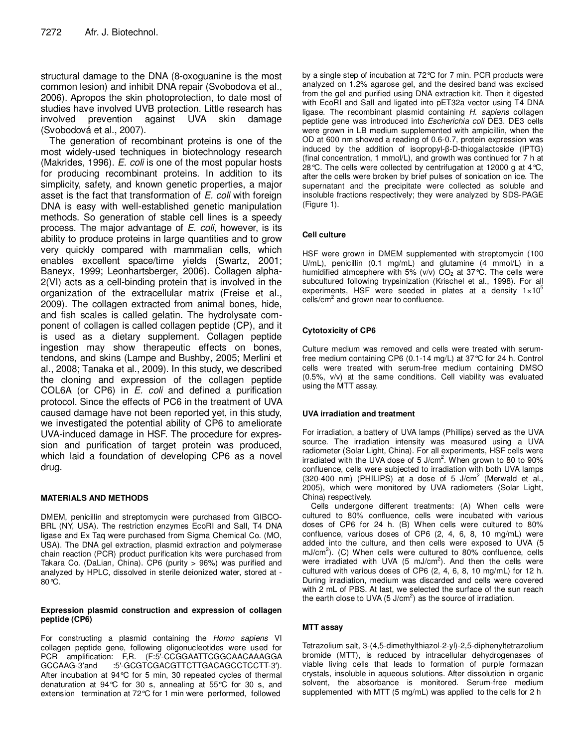structural damage to the DNA (8-oxoguanine is the most common lesion) and inhibit DNA repair (Svobodova et al., 2006). Apropos the skin photoprotection, to date most of studies have involved UVB protection. Little research has involved prevention against UVA skin damage (Svobodová et al., 2007).

The generation of recombinant proteins is one of the most widely-used techniques in biotechnology research (Makrides, 1996). E. coli is one of the most popular hosts for producing recombinant proteins. In addition to its simplicity, safety, and known genetic properties, a major asset is the fact that transformation of E. coli with foreign DNA is easy with well-established genetic manipulation methods. So generation of stable cell lines is a speedy process. The major advantage of E. coli, however, is its ability to produce proteins in large quantities and to grow very quickly compared with mammalian cells, which enables excellent space/time yields (Swartz, 2001; Baneyx, 1999; Leonhartsberger, 2006). Collagen alpha-2(VI) acts as a cell-binding protein that is involved in the organization of the extracellular matrix (Freise et al., 2009). The collagen extracted from animal bones, hide, and fish scales is called gelatin. The hydrolysate component of collagen is called collagen peptide (CP), and it is used as a dietary supplement. Collagen peptide ingestion may show therapeutic effects on bones, tendons, and skins (Lampe and Bushby, 2005; Merlini et al., 2008; Tanaka et al., 2009). In this study, we described the cloning and expression of the collagen peptide COL6A (or CP6) in E. coli and defined a purification protocol. Since the effects of PC6 in the treatment of UVA caused damage have not been reported yet, in this study, we investigated the potential ability of CP6 to ameliorate UVA-induced damage in HSF. The procedure for expression and purification of target protein was produced, which laid a foundation of developing CP6 as a novel drug.

## **MATERIALS AND METHODS**

DMEM, penicillin and streptomycin were purchased from GIBCO-BRL (NY, USA). The restriction enzymes EcoRI and SalI, T4 DNA ligase and Ex Taq were purchased from Sigma Chemical Co. (MO, USA). The DNA gel extraction, plasmid extraction and polymerase chain reaction (PCR) product purification kits were purchased from Takara Co. (DaLian, China). CP6 (purity > 96%) was purified and analyzed by HPLC, dissolved in sterile deionized water, stored at - 80°C.

#### **Expression plasmid construction and expression of collagen peptide (CP6)**

For constructing a plasmid containing the Homo sapiens VI collagen peptide gene, following oligonucleotides were used for PCR amplification: F,R. (F:5′-CCGGAATTCGGCAACAAAGGA GCCAAG-3'and :5'-GCGTCGACGTTCTTGACAGCCTCCTT-3'). After incubation at 94°C for 5 min, 30 repeated cycles of thermal denaturation at 94°C for 30 s, annealing at 55°C for 30 s, and extension termination at 72°C for 1 min were performed, followed

by a single step of incubation at 72°C for 7 min. PCR products were analyzed on 1.2% agarose gel, and the desired band was excised from the gel and purified using DNA extraction kit. Then it digested with EcoRI and SalI and ligated into pET32a vector using T4 DNA ligase. The recombinant plasmid containing  $H$ . sapiens collagen peptide gene was introduced into Escherichia coli DE3. DE3 cells were grown in LB medium supplemented with ampicillin, when the OD at 600 nm showed a reading of 0.6-0.7, protein expression was induced by the addition of isopropyl-β-D-thiogalactoside (IPTG) (final concentration, 1 mmol/L), and growth was continued for 7 h at 28°C. The cells were collected by centrifugation at 12000 g at 4°C, after the cells were broken by brief pulses of sonication on ice. The supernatant and the precipitate were collected as soluble and insoluble fractions respectively; they were analyzed by SDS-PAGE (Figure 1).

# **Cell culture**

HSF were grown in DMEM supplemented with streptomycin (100 U/mL), penicillin (0.1 mg/mL) and glutamine (4 mmol/L) in a humidified atmosphere with 5% (v/v)  $CO<sub>2</sub>$  at 37°C. The cells were subcultured following trypsinization (Krischel et al., 1998). For all experiments, HSF were seeded in plates at a density  $1 \times 10^5$ cells/cm<sup>2</sup> and grown near to confluence.

# **Cytotoxicity of CP6**

Culture medium was removed and cells were treated with serumfree medium containing CP6 (0.1-14 mg/L) at 37°C for 24 h. Control cells were treated with serum-free medium containing DMSO (0.5%, v/v) at the same conditions. Cell viability was evaluated using the MTT assay.

## **UVA irradiation and treatment**

For irradiation, a battery of UVA lamps (Phillips) served as the UVA source. The irradiation intensity was measured using a UVA radiometer (Solar Light, China). For all experiments, HSF cells were irradiated with the UVA dose of 5 J/cm<sup>2</sup>. When grown to 80 to 90% confluence, cells were subjected to irradiation with both UVA lamps  $(320-400 \text{ nm})$  (PHILIPS) at a dose of 5 J/cm<sup>2</sup> (Merwald et al., 2005), which were monitored by UVA radiometers (Solar Light, China) respectively.

Cells undergone different treatments: (A) When cells were cultured to 80% confluence, cells were incubated with various doses of CP6 for 24 h. (B) When cells were cultured to 80% confluence, various doses of CP6 (2, 4, 6, 8, 10 mg/mL) were added into the culture, and then cells were exposed to UVA (5 mJ/cm<sup>2</sup>). (C) When cells were cultured to 80% confluence, cells were irradiated with UVA (5 mJ/cm<sup>2</sup>). And then the cells were cultured with various doses of CP6 (2, 4, 6, 8, 10 mg/mL) for 12 h. During irradiation, medium was discarded and cells were covered with 2 mL of PBS. At last, we selected the surface of the sun reach the earth close to UVA (5 J/cm<sup>2</sup>) as the source of irradiation.

## **MTT assay**

Tetrazolium salt, 3-(4,5-dimethylthiazol-2-yl)-2,5-diphenyltetrazolium bromide (MTT), is reduced by intracellular dehydrogenases of viable living cells that leads to formation of purple formazan crystals, insoluble in aqueous solutions. After dissolution in organic solvent, the absorbance is monitored. Serum-free medium supplemented with MTT (5 mg/mL) was applied to the cells for 2 h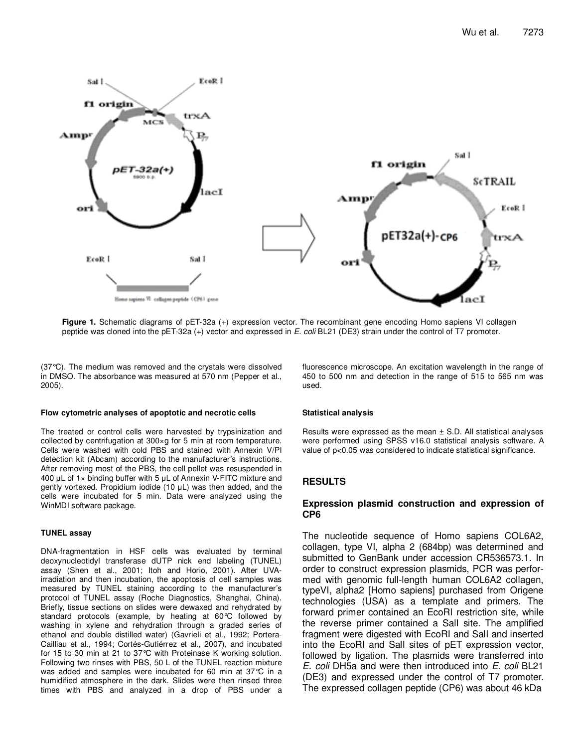

**Figure 1.** Schematic diagrams of pET-32a (+) expression vector. The recombinant gene encoding Homo sapiens VI collagen peptide was cloned into the pET-32a (+) vector and expressed in E. coli BL21 (DE3) strain under the control of T7 promoter.

(37°C). The medium was removed and the crystals were dissolved in DMSO. The absorbance was measured at 570 nm (Pepper et al., 2005).

#### **Flow cytometric analyses of apoptotic and necrotic cells**

The treated or control cells were harvested by trypsinization and collected by centrifugation at 300×g for 5 min at room temperature. Cells were washed with cold PBS and stained with Annexin V/PI detection kit (Abcam) according to the manufacturer's instructions. After removing most of the PBS, the cell pellet was resuspended in 400  $\mu$ L of 1 $\times$  binding buffer with 5  $\mu$ L of Annexin V-FITC mixture and gently vortexed. Propidium iodide (10 µL) was then added, and the cells were incubated for 5 min. Data were analyzed using the WinMDI software package.

#### **TUNEL assay**

DNA-fragmentation in HSF cells was evaluated by terminal deoxynucleotidyl transferase dUTP nick end labeling (TUNEL) assay (Shen et al., 2001; Itoh and Horio, 2001). After UVAirradiation and then incubation, the apoptosis of cell samples was measured by TUNEL staining according to the manufacturer's protocol of TUNEL assay (Roche Diagnostics, Shanghai, China). Briefly, tissue sections on slides were dewaxed and rehydrated by standard protocols (example, by heating at 60°C followed by washing in xylene and rehydration through a graded series of ethanol and double distilled water) (Gavrieli et al., 1992; Portera-Cailliau et al., 1994; Cortés-Gutiérrez et al., 2007), and incubated for 15 to 30 min at 21 to 37°C with Proteinase K working solution. Following two rinses with PBS, 50 L of the TUNEL reaction mixture was added and samples were incubated for 60 min at 37°C in a humidified atmosphere in the dark. Slides were then rinsed three times with PBS and analyzed in a drop of PBS under a fluorescence microscope. An excitation wavelength in the range of 450 to 500 nm and detection in the range of 515 to 565 nm was used.

#### **Statistical analysis**

Results were expressed as the mean ± S.D. All statistical analyses were performed using SPSS v16.0 statistical analysis software. A value of p<0.05 was considered to indicate statistical significance.

## **RESULTS**

# **Expression plasmid construction and expression of CP6**

The nucleotide sequence of Homo sapiens COL6A2, collagen, type VI, alpha 2 (684bp) was determined and submitted to GenBank under accession CR536573.1. In order to construct expression plasmids, PCR was performed with genomic full-length human COL6A2 collagen, typeVI, alpha2 [Homo sapiens] purchased from Origene technologies (USA) as a template and primers. The forward primer contained an EcoRI restriction site, while the reverse primer contained a SalI site. The amplified fragment were digested with EcoRI and SalI and inserted into the EcoRI and SalI sites of pET expression vector, followed by ligation. The plasmids were transferred into E. coli DH5a and were then introduced into E. coli BL21 (DE3) and expressed under the control of T7 promoter. The expressed collagen peptide (CP6) was about 46 kDa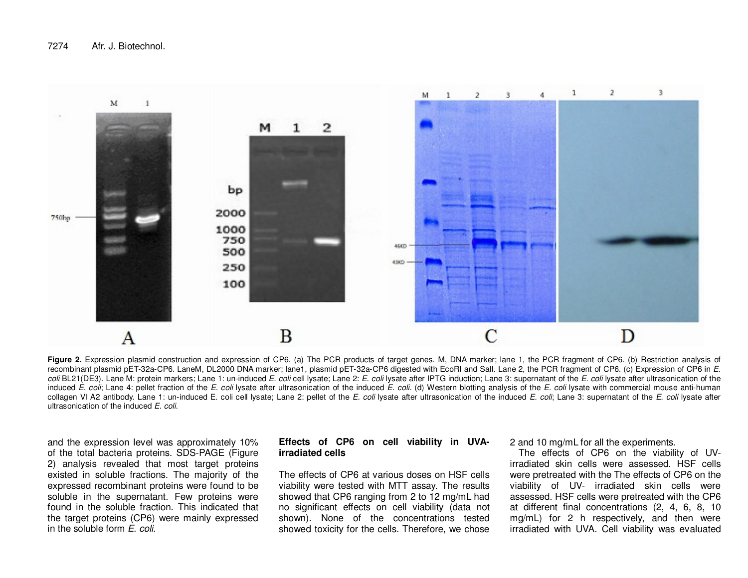

Figure 2. Expression plasmid construction and expression of CP6. (a) The PCR products of target genes. M, DNA marker; lane 1, the PCR fragment of CP6. (b) Restriction analysis of recombinant plasmid pET-32a-CP6. LaneM, DL2000 DNA marker; lane1, plasmid pET-32a-CP6 digested with EcoRI and Sall. Lane 2, the PCR fragment of CP6. (c) Expression of CP6 in E. coli BL21(DE3). Lane M: protein markers; Lane 1: un-induced E. coli cell lysate; Lane 2: E. coli lysate after IPTG induction; Lane 3: supernatant of the E. coli lysate after ultrasonication of the induced E. coli; Lane 4: pellet fraction of the E. coli lysate after ultrasonication of the induced E. coli. (d) Western blotting analysis of the E. coli lysate with commercial mouse anti-human collagen VI A2 antibody. Lane 1: un-induced E. coli cell lysate; Lane 2: pellet of the E. coli lysate after ultrasonication of the induced E. coli; Lane 3: supernatant of the E. coli lysate after ultrasonication of the induced E. coli.

and the expression level was approximately 10% of the total bacteria proteins. SDS-PAGE (Figure 2) analysis revealed that most target proteins existed in soluble fractions. The majority of the expressed recombinant proteins were found to be soluble in the supernatant. Few proteins were found in the soluble fraction. This indicated that the target proteins (CP6) were mainly expressed in the soluble form E. coli.

# **Effects of CP6 on cell viability in UVAirradiated cells**

The effects of CP6 at various doses on HSF cells viability were tested with MTT assay. The results showed that CP6 ranging from 2 to 12 mg/mL had no significant effects on cell viability (data not shown). None of the concentrations tested showed toxicity for the cells. Therefore, we chose 2 and 10 mg/mL for all the experiments.

 The effects of CP6 on the viability of UVirradiated skin cells were assessed. HSF cells were pretreated with the The effects of CP6 on the viability of UV- irradiated skin cells were assessed. HSF cells were pretreated with the CP6 at different final concentrations (2, 4, 6, 8, 10 mg/mL) for 2 h respectively, and then were irradiated with UVA. Cell viability was evaluated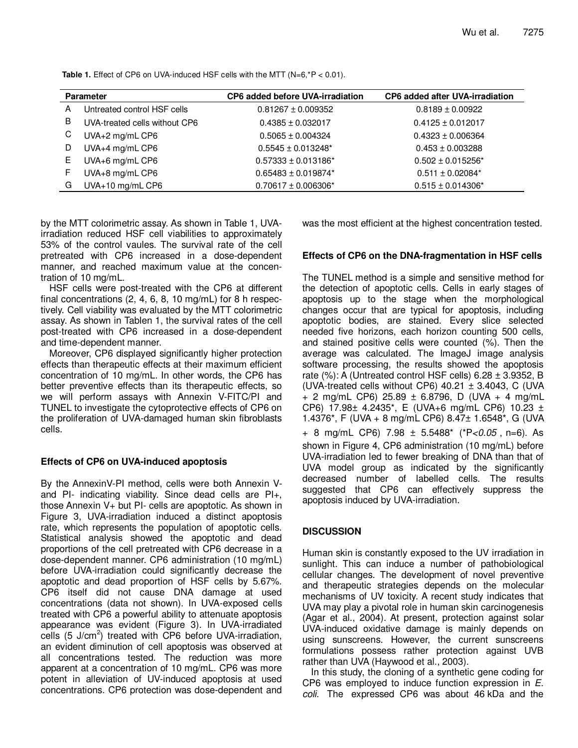**Parameter CP6 added before UVA-irradiation CP6 added after UVA-irradiation**  A Untreated control HSF cells  $0.81267 \pm 0.009352$  0.8189  $\pm 0.00922$ B UVA-treated cells without CP6 0.4385 ± 0.032017 0.4125 ± 0.012017 C UVA+2 mg/mL CP6 0.5065 ± 0.004324 0.4323 ± 0.006364 D UVA+4 mg/mL CP6  $0.5545 \pm 0.013248$ <sup>\*</sup>  $0.453 \pm 0.003288$ E UVA+6 mg/mL CP6  $0.57333 \pm 0.013186*$   $0.502 \pm 0.015256*$ F UVA+8 mg/mL CP6  $0.65483 \pm 0.019874*$   $0.511 \pm 0.02084*$ G UVA+10 mg/mL CP6  $0.70617 \pm 0.006306^*$  0.515  $\pm$  0.014306\*

**Table 1.** Effect of CP6 on UVA-induced HSF cells with the MTT ( $N=6,^{\circ}P < 0.01$ ).

by the MTT colorimetric assay. As shown in Table 1, UVAirradiation reduced HSF cell viabilities to approximately 53% of the control vaules. The survival rate of the cell pretreated with CP6 increased in a dose-dependent manner, and reached maximum value at the concentration of 10 mg/mL.

HSF cells were post-treated with the CP6 at different final concentrations (2, 4, 6, 8, 10 mg/mL) for 8 h respectively. Cell viability was evaluated by the MTT colorimetric assay. As shown in Tablen 1, the survival rates of the cell post-treated with CP6 increased in a dose-dependent and time-dependent manner.

Moreover, CP6 displayed significantly higher protection effects than therapeutic effects at their maximum efficient concentration of 10 mg/mL. In other words, the CP6 has better preventive effects than its therapeutic effects, so we will perform assays with Annexin V-FITC/PI and TUNEL to investigate the cytoprotective effects of CP6 on the proliferation of UVA-damaged human skin fibroblasts cells.

# **Effects of CP6 on UVA-induced apoptosis**

By the AnnexinV-PI method, cells were both Annexin Vand PI- indicating viability. Since dead cells are PI+, those Annexin V+ but PI- cells are apoptotic. As shown in Figure 3, UVA-irradiation induced a distinct apoptosis rate, which represents the population of apoptotic cells. Statistical analysis showed the apoptotic and dead proportions of the cell pretreated with CP6 decrease in a dose-dependent manner. CP6 administration (10 mg/mL) before UVA-irradiation could significantly decrease the apoptotic and dead proportion of HSF cells by 5.67%. CP6 itself did not cause DNA damage at used concentrations (data not shown). In UVA-exposed cells treated with CP6 a powerful ability to attenuate apoptosis appearance was evident (Figure 3). In UVA-irradiated cells  $(5 \text{ J/cm}^2)$  treated with CP6 before UVA-irradiation, an evident diminution of cell apoptosis was observed at all concentrations tested. The reduction was more apparent at a concentration of 10 mg/mL. CP6 was more potent in alleviation of UV-induced apoptosis at used concentrations. CP6 protection was dose-dependent and

was the most efficient at the highest concentration tested.

# **Effects of CP6 on the DNA-fragmentation in HSF cells**

The TUNEL method is a simple and sensitive method for the detection of apoptotic cells. Cells in early stages of apoptosis up to the stage when the morphological changes occur that are typical for apoptosis, including apoptotic bodies, are stained. Every slice selected needed five horizons, each horizon counting 500 cells, and stained positive cells were counted (%). Then the average was calculated. The ImageJ image analysis software processing, the results showed the apoptosis rate (%): A (Untreated control HSF cells) 6.28 ± 3.9352, B (UVA-treated cells without CP6)  $40.21 \pm 3.4043$ , C (UVA)  $+ 2$  mg/mL CP6) 25.89  $\pm$  6.8796, D (UVA  $+ 4$  mg/mL CP6) 17.98± 4.2435\*, E (UVA+6 mg/mL CP6) 10.23 ± 1.4376\*, F (UVA + 8 mg/mL CP6) 8.47± 1.6548\*, G (UVA + 8 mg/mL CP6) 7.98  $\pm$  5.5488\* (\*P<0.05, n=6). As shown in Figure 4, CP6 administration (10 mg/mL) before UVA-irradiation led to fewer breaking of DNA than that of UVA model group as indicated by the significantly decreased number of labelled cells. The results suggested that CP6 can effectively suppress the apoptosis induced by UVA-irradiation.

# **DISCUSSION**

Human skin is constantly exposed to the UV irradiation in sunlight. This can induce a number of pathobiological cellular changes. The development of novel preventive and therapeutic strategies depends on the molecular mechanisms of UV toxicity. A recent study indicates that UVA may play a pivotal role in human skin carcinogenesis (Agar et al., 2004). At present, protection against solar UVA-induced oxidative damage is mainly depends on using sunscreens. However, the current sunscreens formulations possess rather protection against UVB rather than UVA (Haywood et al., 2003).

In this study, the cloning of a synthetic gene coding for CP6 was employed to induce function expression in E. coli. The expressed CP6 was about 46 kDa and the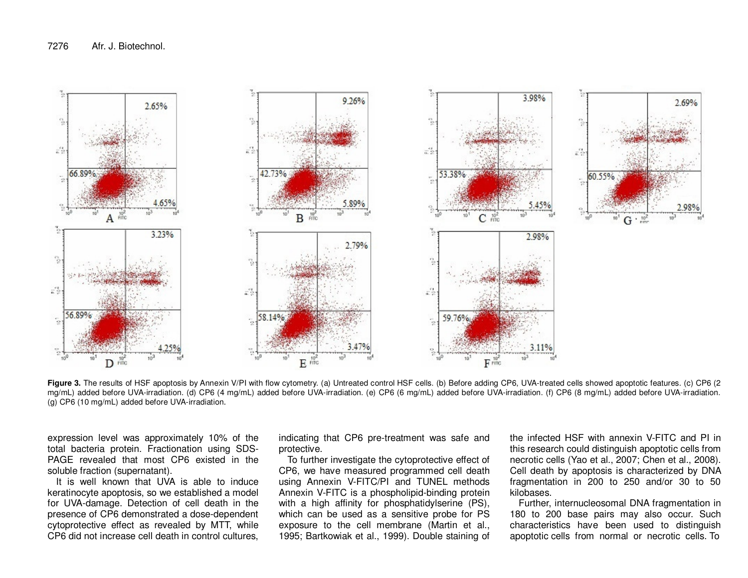

Figure 3. The results of HSF apoptosis by Annexin V/PI with flow cytometry. (a) Untreated control HSF cells. (b) Before adding CP6, UVA-treated cells showed apoptotic features. (c) CP6 (2 mg/mL) added before UVA-irradiation. (d) CP6 (4 mg/mL) added before UVA-irradiation. (e) CP6 (6 mg/mL) added before UVA-irradiation. (f) CP6 (8 mg/mL) added before UVA-irradiation. (g) CP6 (10 mg/mL) added before UVA-irradiation.

expression level was approximately 10% of the total bacteria protein. Fractionation using SDS-PAGE revealed that most CP6 existed in the soluble fraction (supernatant).

 It is well known that UVA is able to induce keratinocyte apoptosis, so we established a model for UVA-damage. Detection of cell death in the presence of CP6 demonstrated a dose-dependent cytoprotective effect as revealed by MTT, while CP6 did not increase cell death in control cultures, indicating that CP6 pre-treatment was safe and protective.

 To further investigate the cytoprotective effect of CP6, we have measured programmed cell death using Annexin V-FITC/PI and TUNEL methods Annexin V-FITC is a phospholipid-binding protein with a high affinity for phosphatidylserine (PS), which can be used as a sensitive probe for PS exposure to the cell membrane (Martin et al., 1995; Bartkowiak et al., 1999). Double staining of

the infected HSF with annexin V-FITC and PI in this research could distinguish apoptotic cells from necrotic cells (Yao et al., 2007; Chen et al., 2008). Cell death by apoptosis is characterized by DNA fragmentation in 200 to 250 and/or 30 to 50 kilobases.

 Further, internucleosomal DNA fragmentation in 180 to 200 base pairs may also occur. Such characteristics have been used to distinguish apoptotic cells from normal or necrotic cells. To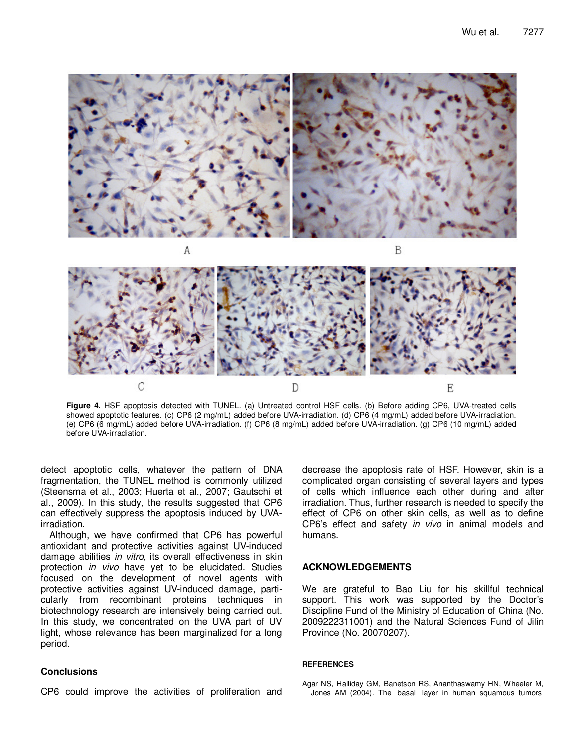

**Figure 4.** HSF apoptosis detected with TUNEL. (a) Untreated control HSF cells. (b) Before adding CP6, UVA-treated cells showed apoptotic features. (c) CP6 (2 mg/mL) added before UVA-irradiation. (d) CP6 (4 mg/mL) added before UVA-irradiation. (e) CP6 (6 mg/mL) added before UVA-irradiation. (f) CP6 (8 mg/mL) added before UVA-irradiation. (g) CP6 (10 mg/mL) added before UVA-irradiation.

detect apoptotic cells, whatever the pattern of DNA fragmentation, the TUNEL method is commonly utilized (Steensma et al., 2003; Huerta et al., 2007; Gautschi et al., 2009). In this study, the results suggested that CP6 can effectively suppress the apoptosis induced by UVAirradiation.

Although, we have confirmed that CP6 has powerful antioxidant and protective activities against UV-induced damage abilities in vitro, its overall effectiveness in skin protection in vivo have yet to be elucidated. Studies focused on the development of novel agents with protective activities against UV-induced damage, particularly from recombinant proteins techniques in biotechnology research are intensively being carried out. In this study, we concentrated on the UVA part of UV light, whose relevance has been marginalized for a long period.

# **Conclusions**

CP6 could improve the activities of proliferation and

decrease the apoptosis rate of HSF. However, skin is a complicated organ consisting of several layers and types of cells which influence each other during and after irradiation. Thus, further research is needed to specify the effect of CP6 on other skin cells, as well as to define CP6's effect and safety in vivo in animal models and humans.

# **ACKNOWLEDGEMENTS**

We are grateful to Bao Liu for his skillful technical support. This work was supported by the Doctor's Discipline Fund of the Ministry of Education of China (No. 2009222311001) and the Natural Sciences Fund of Jilin Province (No. 20070207).

#### **REFERENCES**

Agar NS, Halliday GM, Banetson RS, Ananthaswamy HN, Wheeler M, Jones AM (2004). The basal layer in human squamous tumors